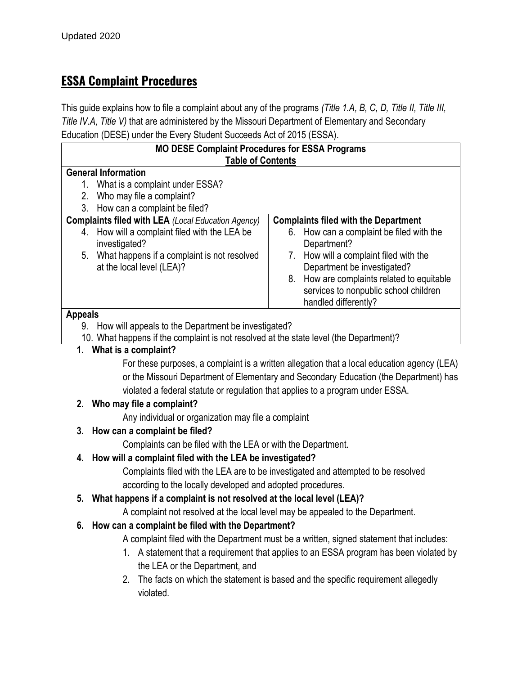## **ESSA Complaint Procedures**

This guide explains how to file a complaint about any of the programs *(Title 1.A, B, C, D, Title II, Title III, Title IV.A, Title V)* that are administered by the Missouri Department of Elementary and Secondary Education (DESE) under the Every Student Succeeds Act of 2015 (ESSA).

| <b>MO DESE Complaint Procedures for ESSA Programs</b>                                                             |                                                                                            |                                             |
|-------------------------------------------------------------------------------------------------------------------|--------------------------------------------------------------------------------------------|---------------------------------------------|
| <b>Table of Contents</b>                                                                                          |                                                                                            |                                             |
| <b>General Information</b>                                                                                        |                                                                                            |                                             |
| 1.                                                                                                                | What is a complaint under ESSA?                                                            |                                             |
| 2.                                                                                                                | Who may file a complaint?                                                                  |                                             |
| 3.                                                                                                                | How can a complaint be filed?<br><b>Complaints filed with LEA (Local Education Agency)</b> | <b>Complaints filed with the Department</b> |
| 4.                                                                                                                | How will a complaint filed with the LEA be                                                 | 6. How can a complaint be filed with the    |
|                                                                                                                   | investigated?                                                                              | Department?                                 |
| 5.                                                                                                                | What happens if a complaint is not resolved                                                | How will a complaint filed with the<br>7.   |
|                                                                                                                   | at the local level (LEA)?                                                                  | Department be investigated?                 |
|                                                                                                                   |                                                                                            | 8. How are complaints related to equitable  |
|                                                                                                                   |                                                                                            | services to nonpublic school children       |
|                                                                                                                   |                                                                                            | handled differently?                        |
| <b>Appeals</b>                                                                                                    |                                                                                            |                                             |
| How will appeals to the Department be investigated?<br>9.                                                         |                                                                                            |                                             |
| 10. What happens if the complaint is not resolved at the state level (the Department)?<br>1. What is a complaint? |                                                                                            |                                             |
|                                                                                                                   |                                                                                            |                                             |
| For these purposes, a complaint is a written allegation that a local education agency (LEA)                       |                                                                                            |                                             |
| or the Missouri Department of Elementary and Secondary Education (the Department) has                             |                                                                                            |                                             |
| violated a federal statute or regulation that applies to a program under ESSA.                                    |                                                                                            |                                             |
| 2. Who may file a complaint?                                                                                      |                                                                                            |                                             |
| Any individual or organization may file a complaint                                                               |                                                                                            |                                             |
| How can a complaint be filed?<br>3.                                                                               |                                                                                            |                                             |
| Complaints can be filed with the LEA or with the Department.                                                      |                                                                                            |                                             |
| 4. How will a complaint filed with the LEA be investigated?                                                       |                                                                                            |                                             |
| Complaints filed with the LEA are to be investigated and attempted to be resolved                                 |                                                                                            |                                             |
| according to the locally developed and adopted procedures.                                                        |                                                                                            |                                             |
| What happens if a complaint is not resolved at the local level (LEA)?<br>5.                                       |                                                                                            |                                             |
|                                                                                                                   | A complaint not resolved at the local level may be appealed to the Department.             |                                             |
| 6. How can a complaint be filed with the Department?                                                              |                                                                                            |                                             |
|                                                                                                                   | A complaint filed with the Department must be a written, signed statement that includes:   |                                             |
| 1. A statement that a requirement that applies to an ESSA program has been violated by                            |                                                                                            |                                             |
| the LEA or the Department, and                                                                                    |                                                                                            |                                             |
| The facts on which the statement is based and the specific requirement allegedly<br>2.                            |                                                                                            |                                             |
| violated.                                                                                                         |                                                                                            |                                             |
|                                                                                                                   |                                                                                            |                                             |